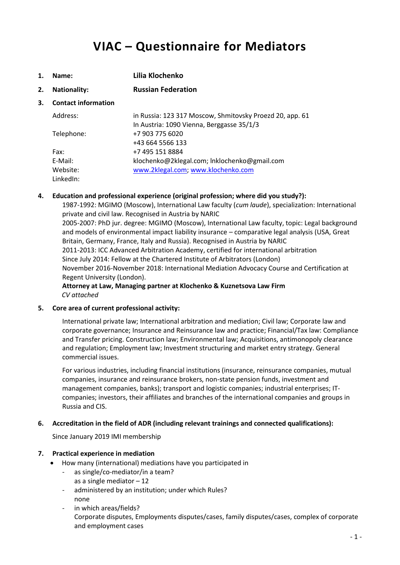## **VIAC – Questionnaire for Mediators**

| 1. | Name:                      | Lilia Klochenko                                                                                       |
|----|----------------------------|-------------------------------------------------------------------------------------------------------|
| 2. | <b>Nationality:</b>        | <b>Russian Federation</b>                                                                             |
| 3. | <b>Contact information</b> |                                                                                                       |
|    | Address:                   | in Russia: 123 317 Moscow, Shmitovsky Proezd 20, app. 61<br>In Austria: 1090 Vienna, Berggasse 35/1/3 |
|    | Telephone:                 | +7 903 775 6020<br>+43 664 5566 133                                                                   |
|    | Fax:                       | +7 495 151 8884                                                                                       |
|    | E-Mail:                    | klochenko@2klegal.com; lnklochenko@gmail.com                                                          |
|    | Website:                   | www.2klegal.com; www.klochenko.com                                                                    |
|    | LinkedIn:                  |                                                                                                       |

### **4. Education and professional experience (original profession; where did you study?):**

1987-1992: MGIMO (Moscow), International Law faculty (*cum laude*), specialization: International private and civil law. Recognised in Austria by NARIC 2005-2007: PhD jur. degree: MGIMO (Moscow), International Law faculty, topic: Legal background and models of environmental impact liability insurance – comparative legal analysis (USA, Great Britain, Germany, France, Italy and Russia). Recognised in Austria by NARIC 2011-2013: ICC Advanced Arbitration Academy, certified for international arbitration Since July 2014: Fellow at the Chartered Institute of Arbitrators (London) November 2016-November 2018: International Mediation Advocacy Course and Certification at Regent University (London).

**Attorney at Law, Managing partner at Klochenko & Kuznetsova Law Firm**  *CV attached* 

### **5. Core area of current professional activity:**

International private law; International arbitration and mediation; Civil law; Corporate law and corporate governance; Insurance and Reinsurance law and practice; Financial/Tax law: Compliance and Transfer pricing. Construction law; Environmental law; Acquisitions, antimonopoly clearance and regulation; Employment law; Investment structuring and market entry strategy. General commercial issues.

For various industries, including financial institutions (insurance, reinsurance companies, mutual companies, insurance and reinsurance brokers, non-state pension funds, investment and management companies, banks); transport and logistic companies; industrial enterprises; ITcompanies; investors, their affiliates and branches of the international companies and groups in Russia and CIS.

### **6. Accreditation in the field of ADR (including relevant trainings and connected qualifications):**

Since January 2019 IMI membership

### **7. Practical experience in mediation**

- How many (international) mediations have you participated in
	- as single/co-mediator/in a team? as a single mediator  $-12$
	- administered by an institution; under which Rules? none
	- in which areas/fields? Corporate disputes, Employments disputes/cases, family disputes/cases, complex of corporate and employment cases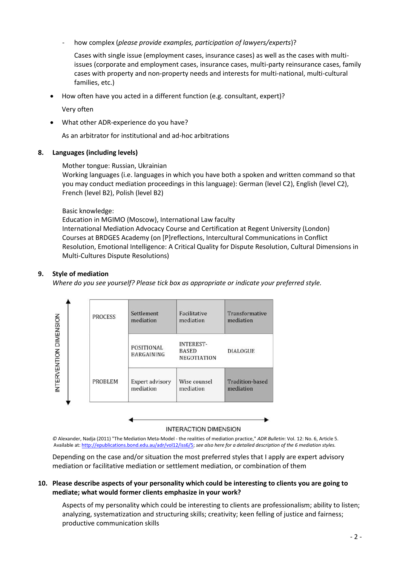- how complex (*please provide examples, participation of lawyers/experts*)?

Cases with single issue (employment cases, insurance cases) as well as the cases with multiissues (corporate and employment cases, insurance cases, multi-party reinsurance cases, family cases with property and non-property needs and interests for multi-national, multi-cultural families, etc.)

How often have you acted in a different function (e.g. consultant, expert)?

Very often

What other ADR-experience do you have?

As an arbitrator for institutional and ad-hoc arbitrations

### **8. Languages (including levels)**

Mother tongue: Russian, Ukrainian

Working languages (i.e. languages in which you have both a spoken and written command so that you may conduct mediation proceedings in this language): German (level C2), English (level C2), French (level B2), Polish (level B2)

Basic knowledge:

Education in MGIMO (Moscow), International Law faculty International Mediation Advocacy Course and Certification at Regent University (London) Courses at BRDGES Academy (on [P]reflections, Intercultural Communications in Conflict Resolution, Emotional Intelligence: A Critical Quality for Dispute Resolution, Cultural Dimensions in Multi-Cultures Dispute Resolutions)

## **9. Style of mediation**

*Where do you see yourself? Please tick box as appropriate or indicate your preferred style.* 



#### **INTERACTION DIMENSION**

*©* Alexander, Nadja (2011) "The Mediation Meta-Model - the realities of mediation practice," *ADR Bulletin*: Vol. 12: No. 6, Article 5. Available at[: http://epublications.bond.edu.au/adr/vol12/iss6/5;](http://epublications.bond.edu.au/adr/vol12/iss6/5) *see also here for a detailed description of the 6 mediation styles.* 

Depending on the case and/or situation the most preferred styles that I apply are expert advisory mediation or facilitative mediation or settlement mediation, or combination of them

### **10. Please describe aspects of your personality which could be interesting to clients you are going to mediate; what would former clients emphasize in your work?**

Aspects of my personality which could be interesting to clients are professionalism; ability to listen; analyzing, systematization and structuring skills; creativity; keen felling of justice and fairness; productive communication skills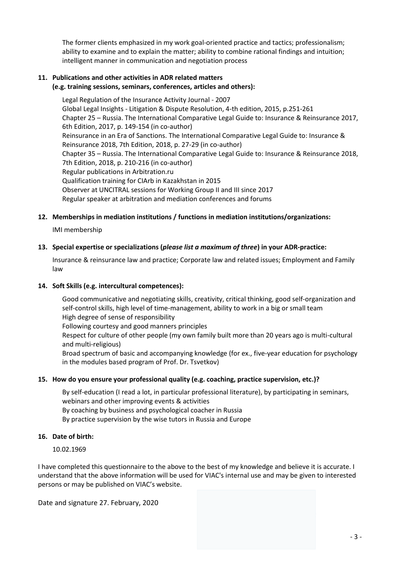The former clients emphasized in my work goal-oriented practice and tactics; professionalism; ability to examine and to explain the matter; ability to combine rational findings and intuition; intelligent manner in communication and negotiation process

### **11. Publications and other activities in ADR related matters (e.g. training sessions, seminars, conferences, articles and others):**

Legal Regulation of the Insurance Activity Journal - 2007 Global Legal Insights - Litigation & Dispute Resolution, 4-th edition, 2015, p.251-261 Chapter 25 – Russia. The International Comparative Legal Guide to: Insurance & Reinsurance 2017, 6th Edition, 2017, p. 149-154 (in co-author) Reinsurance in an Era of Sanctions. The International Comparative Legal Guide to: Insurance & Reinsurance 2018, 7th Edition, 2018, p. 27-29 (in co-author) Chapter 35 – Russia. The International Comparative Legal Guide to: Insurance & Reinsurance 2018, 7th Edition, 2018, p. 210-216 (in co-author) Regular publications in Arbitration.ru Qualification training for CIArb in Kazakhstan in 2015 Observer at UNCITRAL sessions for Working Group II and III since 2017 Regular speaker at arbitration and mediation conferences and forums

### **12. Memberships in mediation institutions / functions in mediation institutions/organizations:**

IMI membership

### **13. Special expertise or specializations (***please list a maximum of three***) in your ADR-practice:**

Insurance & reinsurance law and practice; Corporate law and related issues; Employment and Family law

#### **14. Soft Skills (e.g. intercultural competences):**

Good communicative and negotiating skills, creativity, critical thinking, good self-organization and self-control skills, high level of time-management, ability to work in a big or small team High degree of sense of responsibility Following courtesy and good manners principles Respect for culture of other people (my own family built more than 20 years ago is multi-cultural and multi-religious) Broad spectrum of basic and accompanying knowledge (for ex., five-year education for psychology in the modules based program of Prof. Dr. Tsvetkov)

### **15. How do you ensure your professional quality (e.g. coaching, practice supervision, etc.)?**

By self-education (I read a lot, in particular professional literature), by participating in seminars, webinars and other improving events & activities By coaching by business and psychological coacher in Russia By practice supervision by the wise tutors in Russia and Europe

#### **16. Date of birth:**

10.02.1969

I have completed this questionnaire to the above to the best of my knowledge and believe it is accurate. I understand that the above information will be used for VIAC's internal use and may be given to interested persons or may be published on VIAC's website.

Date and signature 27. February, 2020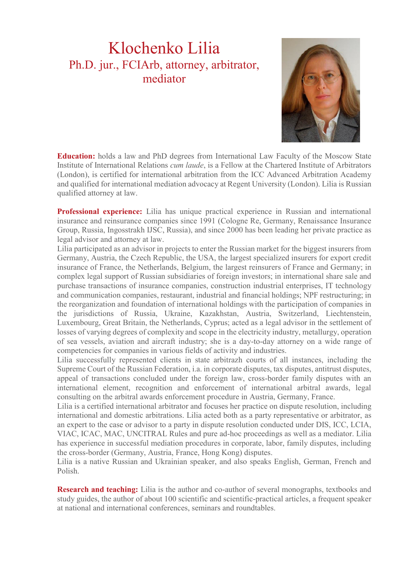# Klochenko Lilia Ph.D. jur., FCIArb, attorney, arbitrator, mediator



**Education:** holds a law and PhD degrees from International Law Faculty of the Moscow State Institute of International Relations *cum laude*, is a Fellow at the Chartered Institute of Arbitrators (London), is certified for international arbitration from the ICC Advanced Arbitration Academy and qualified for international mediation advocacy at Regent University (London). Lilia is Russian qualified attorney at law.

**Professional experience:** Lilia has unique practical experience in Russian and international insurance and reinsurance companies since 1991 (Cologne Re, Germany, Renaissance Insurance Group, Russia, Ingosstrakh IJSC, Russia), and since 2000 has been leading her private practice as legal advisor and attorney at law.

Lilia participated as an advisor in projects to enter the Russian market for the biggest insurers from Germany, Austria, the Czech Republic, the USA, the largest specialized insurers for export credit insurance of France, the Netherlands, Belgium, the largest reinsurers of France and Germany; in complex legal support of Russian subsidiaries of foreign investors; in international share sale and purchase transactions of insurance companies, construction industrial enterprises, IT technology and communication companies, restaurant, industrial and financial holdings; NPF restructuring; in the reorganization and foundation of international holdings with the participation of companies in the jurisdictions of Russia, Ukraine, Kazakhstan, Austria, Switzerland, Liechtenstein, Luxembourg, Great Britain, the Netherlands, Cyprus; acted as a legal advisor in the settlement of losses of varying degrees of complexity and scope in the electricity industry, metallurgy, operation of sea vessels, aviation and aircraft industry; she is a day-to-day attorney on a wide range of competencies for companies in various fields of activity and industries.

Lilia successfully represented clients in state arbitrazh courts of all instances, including the Supreme Court of the Russian Federation, i.a. in corporate disputes, tax disputes, antitrust disputes, appeal of transactions concluded under the foreign law, cross-border family disputes with an international element, recognition and enforcement of international arbitral awards, legal consulting on the arbitral awards enforcement procedure in Austria, Germany, France.

Lilia is a certified international arbitrator and focuses her practice on dispute resolution, including international and domestic arbitrations. Lilia acted both as a party representative or arbitrator, as an expert to the case or advisor to a party in dispute resolution conducted under DIS, ICC, LCIA, VIAC, ICAC, MAC, UNCITRAL Rules and pure ad-hoc proceedings as well as a mediator. Lilia has experience in successful mediation procedures in corporate, labor, family disputes, including the cross-border (Germany, Austria, France, Hong Kong) disputes.

Lilia is a native Russian and Ukrainian speaker, and also speaks English, German, French and Polish.

**Research and teaching:** Lilia is the author and co-author of several monographs, textbooks and study guides, the author of about 100 scientific and scientific-practical articles, a frequent speaker at national and international conferences, seminars and roundtables.